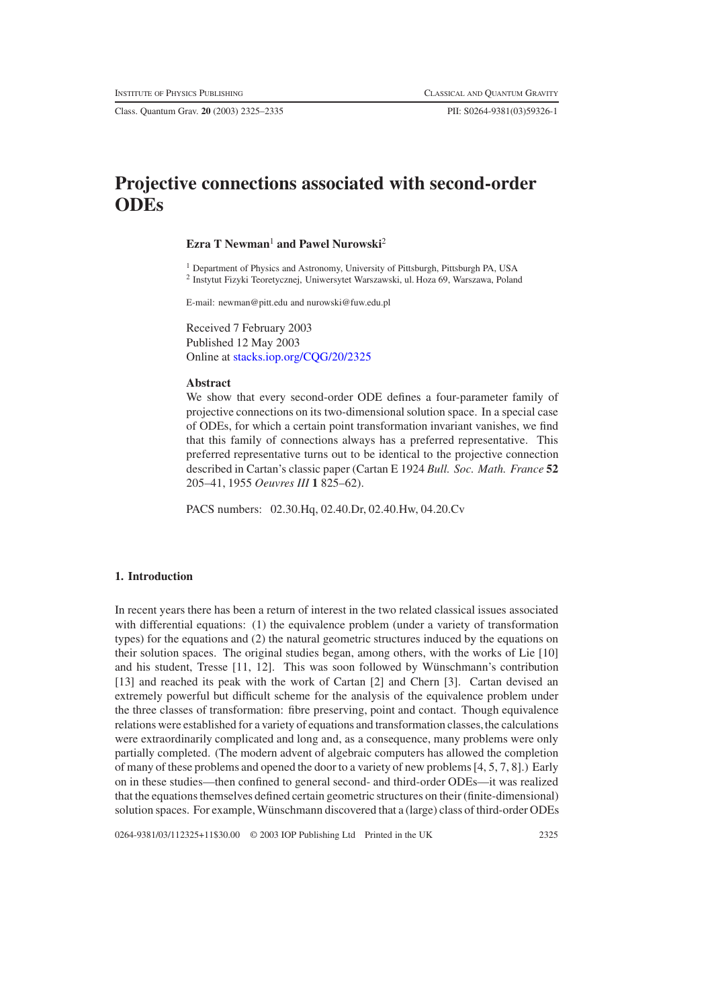Class. Quantum Grav. **20** (2003) 2325–2335 PII: S0264-9381(03)59326-1

# **Projective connections associated with second-order ODEs**

# **Ezra T Newman<sup>1</sup> and Pawel Nurowski<sup>2</sup>**

<sup>1</sup> Department of Physics and Astronomy, University of Pittsburgh, Pittsburgh PA, USA <sup>2</sup> Instytut Fizyki Teoretycznej, Uniwersytet Warszawski, ul. Hoza 69, Warszawa, Poland

E-mail: newman@pitt.edu and nurowski@fuw.edu.pl

Received 7 February 2003 Published 12 May 2003 Online at [stacks.iop.org/CQG/20/2325](http://stacks.iop.org/cq/20/2325)

#### **Abstract**

We show that every second-order ODE defines a four-parameter family of projective connections on its two-dimensional solution space. In a special case of ODEs, for which a certain point transformation invariant vanishes, we find that this family of connections always has a preferred representative. This preferred representative turns out to be identical to the projective connection described in Cartan's classic paper (Cartan E 1924 *Bull. Soc. Math. France* **52** 205–41, 1955 *Oeuvres III* **1** 825–62).

PACS numbers: 02.30.Hq, 02.40.Dr, 02.40.Hw, 04.20.Cv

## **1. Introduction**

In recent years there has been a return of interest in the two related classical issues associated with differential equations: (1) the equivalence problem (under a variety of transformation types) for the equations and (2) the natural geometric structures induced by the equations on their solution spaces. The original studies began, among others, with the works of Lie [10] and his student, Tresse  $[11, 12]$ . This was soon followed by Wünschmann's contribution [13] and reached its peak with the work of Cartan [2] and Chern [3]. Cartan devised an extremely powerful but difficult scheme for the analysis of the equivalence problem under the three classes of transformation: fibre preserving, point and contact. Though equivalence relations were established for a variety of equations and transformation classes,the calculations were extraordinarily complicated and long and, as a consequence, many problems were only partially completed. (The modern advent of algebraic computers has allowed the completion of many of these problems and opened the door to a variety of new problems [4, 5, 7, 8].) Early on in these studies—then confined to general second- and third-order ODEs—it was realized that the equations themselves defined certain geometric structures on their (finite-dimensional) solution spaces. For example, Wünschmann discovered that a (large) class of third-order ODEs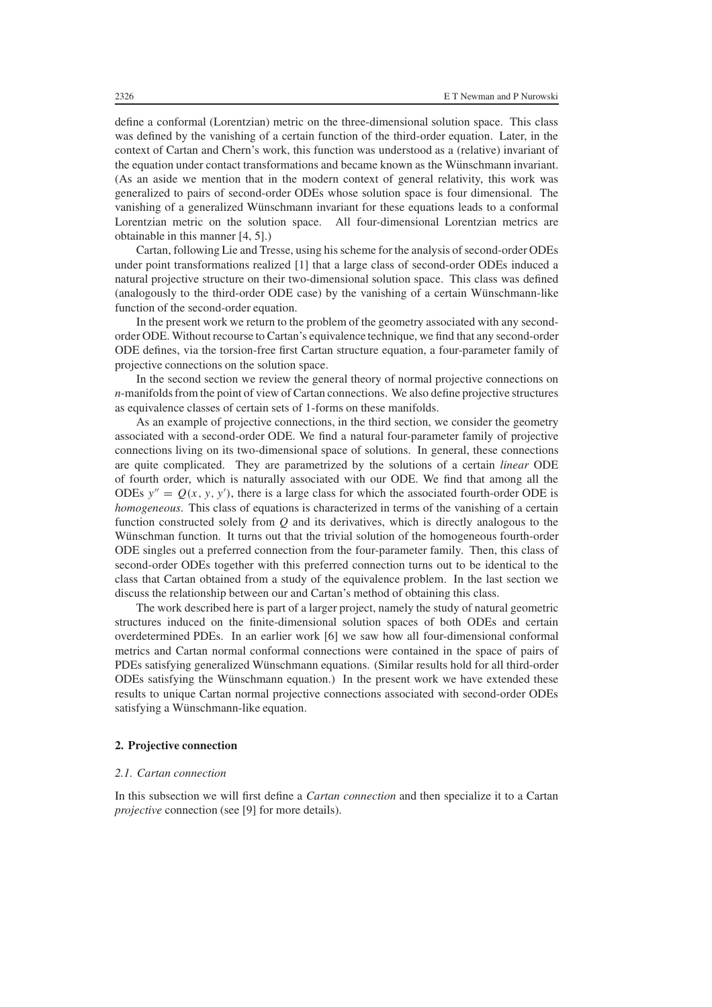define a conformal (Lorentzian) metric on the three-dimensional solution space. This class was defined by the vanishing of a certain function of the third-order equation. Later, in the context of Cartan and Chern's work, this function was understood as a (relative) invariant of the equation under contact transformations and became known as the Wünschmann invariant. (As an aside we mention that in the modern context of general relativity, this work was generalized to pairs of second-order ODEs whose solution space is four dimensional. The vanishing of a generalized Wünschmann invariant for these equations leads to a conformal Lorentzian metric on the solution space. All four-dimensional Lorentzian metrics are obtainable in this manner [4, 5].)

Cartan, following Lie and Tresse, using his scheme for the analysis of second-order ODEs under point transformations realized [1] that a large class of second-order ODEs induced a natural projective structure on their two-dimensional solution space. This class was defined (analogously to the third-order ODE case) by the vanishing of a certain Wunschmann-like ¨ function of the second-order equation.

In the present work we return to the problem of the geometry associated with any secondorder ODE. Without recourse to Cartan's equivalence technique, we find that any second-order ODE defines, via the torsion-free first Cartan structure equation, a four-parameter family of projective connections on the solution space.

In the second section we review the general theory of normal projective connections on *n*-manifolds from the point of view of Cartan connections. We also define projective structures as equivalence classes of certain sets of 1-forms on these manifolds.

As an example of projective connections, in the third section, we consider the geometry associated with a second-order ODE. We find a natural four-parameter family of projective connections living on its two-dimensional space of solutions. In general, these connections are quite complicated. They are parametrized by the solutions of a certain *linear* ODE of fourth order, which is naturally associated with our ODE. We find that among all the ODEs  $y'' = Q(x, y, y')$ , there is a large class for which the associated fourth-order ODE is *homogeneous*. This class of equations is characterized in terms of the vanishing of a certain function constructed solely from *Q* and its derivatives, which is directly analogous to the Wünschman function. It turns out that the trivial solution of the homogeneous fourth-order ODE singles out a preferred connection from the four-parameter family. Then, this class of second-order ODEs together with this preferred connection turns out to be identical to the class that Cartan obtained from a study of the equivalence problem. In the last section we discuss the relationship between our and Cartan's method of obtaining this class.

The work described here is part of a larger project, namely the study of natural geometric structures induced on the finite-dimensional solution spaces of both ODEs and certain overdetermined PDEs. In an earlier work [6] we saw how all four-dimensional conformal metrics and Cartan normal conformal connections were contained in the space of pairs of PDEs satisfying generalized Wünschmann equations. (Similar results hold for all third-order ODEs satisfying the Wünschmann equation.) In the present work we have extended these results to unique Cartan normal projective connections associated with second-order ODEs satisfying a Wünschmann-like equation.

# **2. Projective connection**

#### *2.1. Cartan connection*

In this subsection we will first define a *Cartan connection* and then specialize it to a Cartan *projective* connection (see [9] for more details).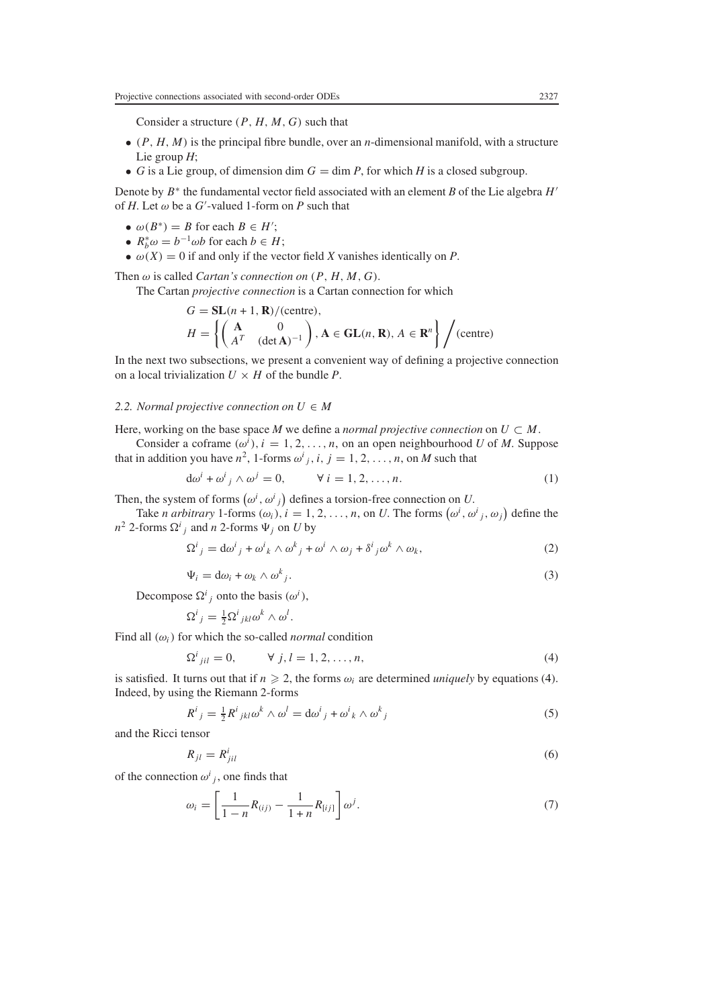Consider a structure *(P , H, M, G)* such that

- *(P , H,M)* is the principal fibre bundle, over an *n*-dimensional manifold, with a structure Lie group *H*;
- *G* is a Lie group, of dimension dim  $G = \dim P$ , for which *H* is a closed subgroup.

Denote by *B*<sup>∗</sup> the fundamental vector field associated with an element *B* of the Lie algebra *H* of *H*. Let  $\omega$  be a *G*'-valued 1-form on *P* such that

- $\omega(B^*) = B$  for each  $B \in H'$ ;
- $R_b^* \omega = b^{-1} \omega b$  for each  $b \in H$ ;
- $\omega(X) = 0$  if and only if the vector field *X* vanishes identically on *P*.

Then  $\omega$  is called *Cartan's connection on*  $(P, H, M, G)$ .

The Cartan *projective connection* is a Cartan connection for which

$$
G = \mathbf{SL}(n+1, \mathbf{R})/(\text{centre}),
$$
  
\n
$$
H = \left\{ \begin{pmatrix} \mathbf{A} & 0 \\ A^T & (\text{det}\mathbf{A})^{-1} \end{pmatrix}, \mathbf{A} \in \mathbf{GL}(n, \mathbf{R}), A \in \mathbf{R}^n \right\} / (\text{centre})
$$

In the next two subsections, we present a convenient way of defining a projective connection on a local trivialization  $U \times H$  of the bundle *P*.

## 2.2. *Normal projective connection on*  $U \in M$

Here, working on the base space *M* we define a *normal projective connection* on  $U \subset M$ .

Consider a coframe  $(\omega^i)$ ,  $i = 1, 2, \ldots, n$ , on an open neighbourhood *U* of *M*. Suppose that in addition you have  $n^2$ , 1-forms  $\omega^i{}_j$ , *i*,  $j = 1, 2, ..., n$ , on *M* such that

$$
d\omega^i + \omega^i{}_j \wedge \omega^j = 0, \qquad \forall i = 1, 2, \dots, n. \tag{1}
$$

Then, the system of forms  $(\omega^i, \omega^i)_j$  defines a torsion-free connection on *U*.

*.*

Take *n arbitrary* 1-forms  $(\omega_i)$ ,  $i = 1, 2, ..., n$ , on *U*. The forms  $(\omega^i, \omega^i_j, \omega_j)$  define the  $n^2$  2-forms  $\Omega^i{}_j$  and *n* 2-forms  $\Psi_j$  on *U* by

$$
\Omega^{i}{}_{j} = d\omega^{i}{}_{j} + \omega^{i}{}_{k} \wedge \omega^{k}{}_{j} + \omega^{i} \wedge \omega_{j} + \delta^{i}{}_{j}\omega^{k} \wedge \omega_{k},\tag{2}
$$

$$
\Psi_i = d\omega_i + \omega_k \wedge \omega^k_j. \tag{3}
$$

Decompose  $\Omega^i_j$  onto the basis  $(\omega^i)$ ,

$$
\Omega^i{}_j = \frac{1}{2} \Omega^i{}_{jkl} \omega^k \wedge \omega^l
$$

<span id="page-2-0"></span>Find all  $(\omega_i)$  for which the so-called *normal* condition

$$
\Omega^{i}{}_{jil} = 0, \qquad \forall j, l = 1, 2, \dots, n,
$$
\n
$$
(4)
$$

is satisfied. It turns out that if  $n \ge 2$ , the forms  $\omega_i$  are determined *uniquely* by equations [\(4\)](#page-2-0). Indeed, by using the Riemann 2-forms

$$
R^{i}{}_{j} = \frac{1}{2} R^{i}{}_{jkl} \omega^{k} \wedge \omega^{l} = d\omega^{i}{}_{j} + \omega^{i}{}_{k} \wedge \omega^{k}{}_{j}
$$
\n<sup>(5)</sup>

and the Ricci tensor

$$
R_{jl} = R_{jil}^i \tag{6}
$$

of the connection  $\omega^i_j$ , one finds that

$$
\omega_i = \left[ \frac{1}{1 - n} R_{(ij)} - \frac{1}{1 + n} R_{[ij]} \right] \omega^j.
$$
\n(7)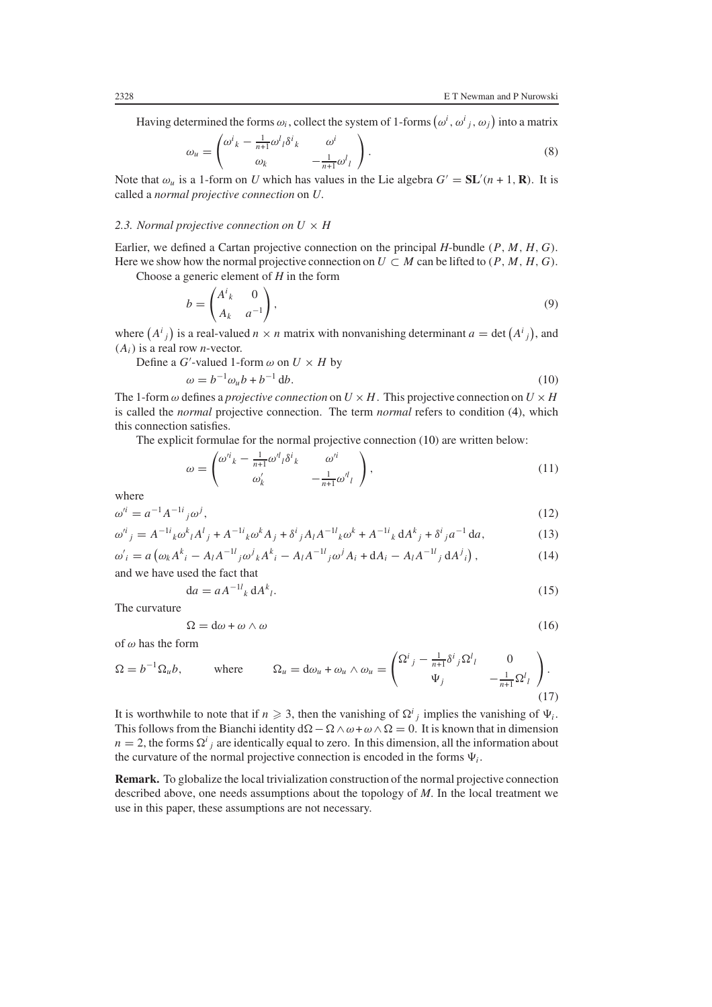Having determined the forms  $\omega_i$ , collect the system of 1-forms  $(\omega^i, \omega^i{}_j, \omega_j)$  into a matrix

$$
\omega_u = \begin{pmatrix} \omega^i{}_k - \frac{1}{n+1} \omega^l{}_l \delta^i{}_k & \omega^i \\ \omega_k & -\frac{1}{n+1} \omega^l{}_l \end{pmatrix} . \tag{8}
$$

Note that  $\omega_u$  is a 1-form on *U* which has values in the Lie algebra  $G' = SL'(n + 1, \mathbf{R})$ . It is called a *normal projective connection* on *U*.

## 2.3. Normal projective connection on  $U \times H$

Earlier, we defined a Cartan projective connection on the principal *H*-bundle *(P , M, H, G)*. Here we show how the normal projective connection on  $U \subset M$  can be lifted to  $(P, M, H, G)$ . Choose a generic element of *H* in the form

$$
b = \begin{pmatrix} A^i{}_k & 0 \\ A_k & a^{-1} \end{pmatrix},\tag{9}
$$

<span id="page-3-0"></span>where  $(A^{i}_{j})$  is a real-valued  $n \times n$  matrix with nonvanishing determinant  $a = \det(A^{i}_{j})$ , and *(Ai)* is a real row *n*-vector.

Define a *G*'-valued 1-form  $\omega$  on  $U \times H$  by

$$
\omega = b^{-1} \omega_u b + b^{-1} \mathrm{d}b. \tag{10}
$$

The 1-form  $\omega$  defines a *projective connection* on  $U \times H$ . This projective connection on  $U \times H$ is called the *normal* projective connection. The term *normal* refers to condition [\(4\)](#page-2-0), which this connection satisfies.

<span id="page-3-3"></span>The explicit formulae for the normal projective connection [\(10\)](#page-3-0) are written below:

$$
\omega = \begin{pmatrix} \omega^i{}_k - \frac{1}{n+1} \omega^l{}_l \delta^i{}_k & \omega^i \\ \omega'_k & -\frac{1}{n+1} \omega^l{}_l \end{pmatrix},\tag{11}
$$

<span id="page-3-1"></span>where

$$
\omega^{i} = a^{-1} A^{-1i}{}_{j} \omega^{j},\tag{12}
$$

<span id="page-3-2"></span>
$$
\omega^{i}{}_{j} = A^{-1i}{}_{k}\omega^{k}{}_{l}A^{l}{}_{j} + A^{-1i}{}_{k}\omega^{k}A_{j} + \delta^{i}{}_{j}A_{l}A^{-1l}{}_{k}\omega^{k} + A^{-1i}{}_{k}dA^{k}{}_{j} + \delta^{i}{}_{j}a^{-1}da,
$$
\n(13)

$$
\omega'_{i} = a \left( \omega_{k} A^{k}{}_{i} - A_{l} A^{-1}{}_{j} \omega^{j}{}_{k} A^{k}{}_{i} - A_{l} A^{-1}{}_{j} \omega^{j} A_{i} + d A_{i} - A_{l} A^{-1}{}_{j} d A^{j}{}_{i} \right),
$$
\n(14)

and we have used the fact that

$$
da = aA^{-1l}{}_k dA^k{}_l. \tag{15}
$$

The curvature

$$
\Omega = d\omega + \omega \wedge \omega \tag{16}
$$

of *ω* has the form

$$
\Omega = b^{-1} \Omega_u b, \qquad \text{where} \qquad \Omega_u = d\omega_u + \omega_u \wedge \omega_u = \begin{pmatrix} \Omega^i{}_j - \frac{1}{n+1} \delta^i{}_j \Omega^l{}_l & 0 \\ \Psi_j & -\frac{1}{n+1} \Omega^l{}_l \end{pmatrix} . \tag{17}
$$

It is worthwhile to note that if  $n \ge 3$ , then the vanishing of  $\Omega^{i}{}_{j}$  implies the vanishing of  $\Psi_{i}$ . This follows from the Bianchi identity  $d\Omega - \Omega \wedge \omega + \omega \wedge \Omega = 0$ . It is known that in dimension  $n = 2$ , the forms  $\Omega^i_j$  are identically equal to zero. In this dimension, all the information about the curvature of the normal projective connection is encoded in the forms  $\Psi_i$ .

**Remark.** To globalize the local trivialization construction of the normal projective connection described above, one needs assumptions about the topology of *M*. In the local treatment we use in this paper, these assumptions are not necessary.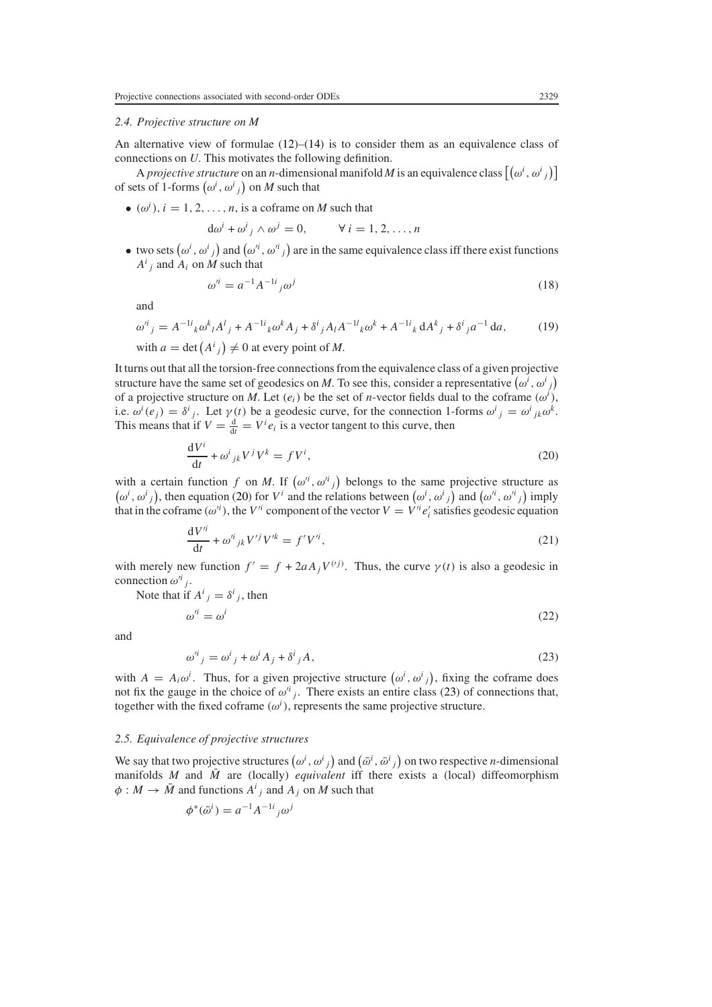#### *2.4. Projective structure on M*

An alternative view of formulae  $(12)$ – $(14)$  is to consider them as an equivalence class of connections on *U*. This motivates the following definition.

A *projective structure* on an *n*-dimensional manifold *M* is an equivalence class  $[(\omega^i, \omega^i)_j]$ of sets of 1-forms  $(\omega^i, \omega^i{}_j)$  on *M* such that

•  $(\omega^i)$ ,  $i = 1, 2, \dots, n$ , is a coframe on *M* such that

$$
d\omega^i + \omega^i{}_j \wedge \omega^j = 0, \qquad \forall i = 1, 2, \dots, n
$$

<span id="page-4-2"></span>• two sets  $(\omega^i, \omega^i)_j$  and  $(\omega'^i, \omega'^i)_j$  are in the same equivalence class iff there exist functions  $A^i$ <sup>*j*</sup> and  $A_i$  on *M* such that

$$
\omega'^i = a^{-1} A^{-1i}{}_j \omega^j \tag{18}
$$

<span id="page-4-3"></span>and

$$
\omega^{i}{}_{j} = A^{-1i}{}_{k}\omega^{k}{}_{l}A^{l}{}_{j} + A^{-1i}{}_{k}\omega^{k}A_{j} + \delta^{i}{}_{j}A_{l}A^{-1l}{}_{k}\omega^{k} + A^{-1i}{}_{k}dA^{k}{}_{j} + \delta^{i}{}_{j}a^{-1}da,
$$
 (19)

with  $a = \det(A^i{}_j) \neq 0$  at every point of *M*.

It turns out that all the torsion-free connections from the equivalence class of a given projective structure have the same set of geodesics on *M*. To see this, consider a representative  $(\omega^i, \omega^i{}_j)$ of a projective structure on *M*. Let  $(e_i)$  be the set of *n*-vector fields dual to the coframe  $(\omega^i)$ , i.e.  $\omega^{i}(e_{j}) = \delta^{i}{}_{j}$ . Let  $\gamma(t)$  be a geodesic curve, for the connection 1-forms  $\omega^{i}{}_{j} = \omega^{i}{}_{jk}\omega^{k}$ . This means that if  $V = \frac{d}{dt} = V^i e_i$  is a vector tangent to this curve, then

$$
\frac{\mathrm{d}V^i}{\mathrm{d}t} + \omega^i{}_{jk} V^j V^k = f V^i,\tag{20}
$$

<span id="page-4-0"></span>with a certain function f on M. If  $(\omega^{i}, \omega^{i})$  belongs to the same projective structure as  $(\omega^i, \omega^i)_j$ , then equation [\(20\)](#page-4-0) for *V<sup>i</sup>* and the relations between  $(\omega^i, \omega^i)_j$  and  $(\omega'^i, \omega'^i)_j$  imply that in the coframe  $(\omega^{i})$ , the  $V^{i}$  component of the vector  $V = V^{i} e'_{i}$  satisfies geodesic equation

$$
\frac{\mathrm{d}V'^i}{\mathrm{d}t} + \omega'^i{}_{jk}V'^jV'^k = f'V'^i,\tag{21}
$$

with merely new function  $f' = f + 2aA_jV^{(i)}$ . Thus, the curve  $\gamma(t)$  is also a geodesic in connection  $\omega^{i}$ <sub>*j*</sub>.

<span id="page-4-4"></span>Note that if 
$$
A^i{}_j = \delta^i{}_j
$$
, then  
\n
$$
\omega'^i = \omega^i
$$
\n(22)

<span id="page-4-1"></span>and

$$
\omega^{i}{}_{j} = \omega^{i}{}_{j} + \omega^{i} A_{j} + \delta^{i}{}_{j} A,
$$
\n<sup>(23)</sup>

with  $A = A_i \omega^i$ . Thus, for a given projective structure  $(\omega^i, \omega^i)$ , fixing the coframe does not fix the gauge in the choice of  $\omega^{i}$ , There exists an entire class [\(23\)](#page-4-1) of connections that, together with the fixed coframe  $(\omega^i)$ , represents the same projective structure.

#### *2.5. Equivalence of projective structures*

We say that two projective structures  $(\omega^i, \omega^i{}_j)$  and  $(\bar{\omega}^i, \bar{\omega}^i{}_j)$  on two respective *n*-dimensional manifolds *M* and  $\overline{M}$  are (locally) *equivalent* iff there exists a (local) diffeomorphism  $\phi: M \to \overline{M}$  and functions  $A^i{}_j$  and  $A_j$  on  $M$  such that

$$
\phi^*(\bar{\omega}^i) = a^{-1}A^{-1}i_j\omega^j
$$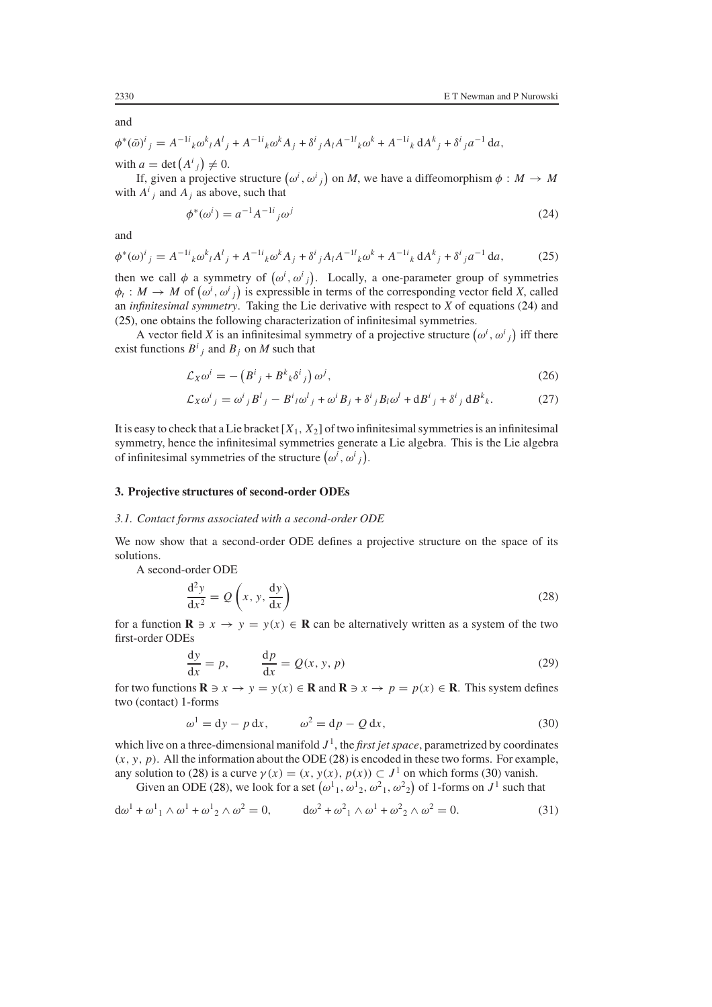and

$$
\phi^*(\bar{\omega})^i{}_j = A^{-1i}{}_k \omega^k{}_l A^l{}_j + A^{-1i}{}_k \omega^k{}_l A_j + \delta^i{}_j A_l A^{-1l}{}_k \omega^k{}_l A_l^{l}{}_k + A^{-1i}{}_k A_l A_l^k{}_j + \delta^i{}_j a^{-1} da,
$$
  
with  $a = \det(A^i{}_j) \neq 0$ .

<span id="page-5-0"></span>If, given a projective structure  $(\omega^i, \omega^i)_i$  on *M*, we have a diffeomorphism  $\phi : M \to M$ with  $A^i_j$  and  $A_j$  as above, such that

$$
\phi^*(\omega^i) = a^{-1} A^{-1i}{}_j \omega^j \tag{24}
$$

<span id="page-5-1"></span>and

$$
\phi^*(\omega)^i{}_j = A^{-1i}{}_k \omega^k{}_l A^l{}_j + A^{-1i}{}_k \omega^k{}_l A_j + \delta^i{}_j A_l A^{-1l}{}_k \omega^k{}_l A^{-1i}{}_k A^l{}_j + \delta^i{}_j a^{-1}{}_k \, \mathrm{d} A, \tag{25}
$$

then we call  $\phi$  a symmetry of  $(\omega^i, \omega^i)_i$ . Locally, a one-parameter group of symmetries  $\phi_t$ :  $M \to M$  of  $(\omega^i, \omega^i)_j$  is expressible in terms of the corresponding vector field *X*, called an *infinitesimal symmetry*. Taking the Lie derivative with respect to *X* of equations [\(24\)](#page-5-0) and [\(25\)](#page-5-1), one obtains the following characterization of infinitesimal symmetries.

A vector field *X* is an infinitesimal symmetry of a projective structure  $(\omega^i, \omega^i)_j$  iff there exist functions  $B^i_j$  and  $B_j$  on *M* such that

$$
\mathcal{L}_X \omega^i = -\left(B^i{}_j + B^k{}_k \delta^i{}_j\right) \omega^j,\tag{26}
$$

$$
\mathcal{L}_X \omega^i{}_j = \omega^i{}_j B^l{}_j - B^i{}_l \omega^l{}_j + \omega^i B_j + \delta^i{}_j B_l \omega^l + \mathrm{d} B^i{}_j + \delta^i{}_j \mathrm{d} B^k{}_k. \tag{27}
$$

It is easy to check that a Lie bracket  $[X_1, X_2]$  of two infinitesimal symmetries is an infinitesimal symmetry, hence the infinitesimal symmetries generate a Lie algebra. This is the Lie algebra of infinitesimal symmetries of the structure  $(\omega^i, \omega^i)_$ .

#### **3. Projective structures of second-order ODEs**

#### *3.1. Contact forms associated with a second-order ODE*

We now show that a second-order ODE defines a projective structure on the space of its solutions.

<span id="page-5-2"></span>A second-order ODE

$$
\frac{d^2y}{dx^2} = Q\left(x, y, \frac{dy}{dx}\right)
$$
 (28)

for a function  $\mathbf{R} \ni x \to y = y(x) \in \mathbf{R}$  can be alternatively written as a system of the two first-order ODEs

$$
\frac{dy}{dx} = p, \qquad \frac{dp}{dx} = Q(x, y, p)
$$
\n(29)

<span id="page-5-3"></span>for two functions  $\mathbf{R} \ni x \to y = y(x) \in \mathbf{R}$  and  $\mathbf{R} \ni x \to p = p(x) \in \mathbf{R}$ . This system defines two (contact) 1-forms

$$
\omega^1 = dy - p dx, \qquad \omega^2 = dp - Q dx,
$$
\n(30)

which live on a three-dimensional manifold  $J<sup>1</sup>$ , the *first jet space*, parametrized by coordinates  $(x, y, p)$ . All the information about the ODE [\(28\)](#page-5-2) is encoded in these two forms. For example, any solution to [\(28\)](#page-5-2) is a curve  $\gamma(x) = (x, y(x), p(x)) \subset J^1$  on which forms [\(30\)](#page-5-3) vanish.

Given an ODE [\(28\)](#page-5-2), we look for a set  $(\omega^1{}_1, \omega^1{}_2, \omega^2{}_1, \omega^2{}_2)$  of 1-forms on  $J^1$  such that

<span id="page-5-4"></span>
$$
d\omega^1 + \omega^1{}_1 \wedge \omega^1 + \omega^1{}_2 \wedge \omega^2 = 0, \qquad d\omega^2 + \omega^2{}_1 \wedge \omega^1 + \omega^2{}_2 \wedge \omega^2 = 0.
$$
 (31)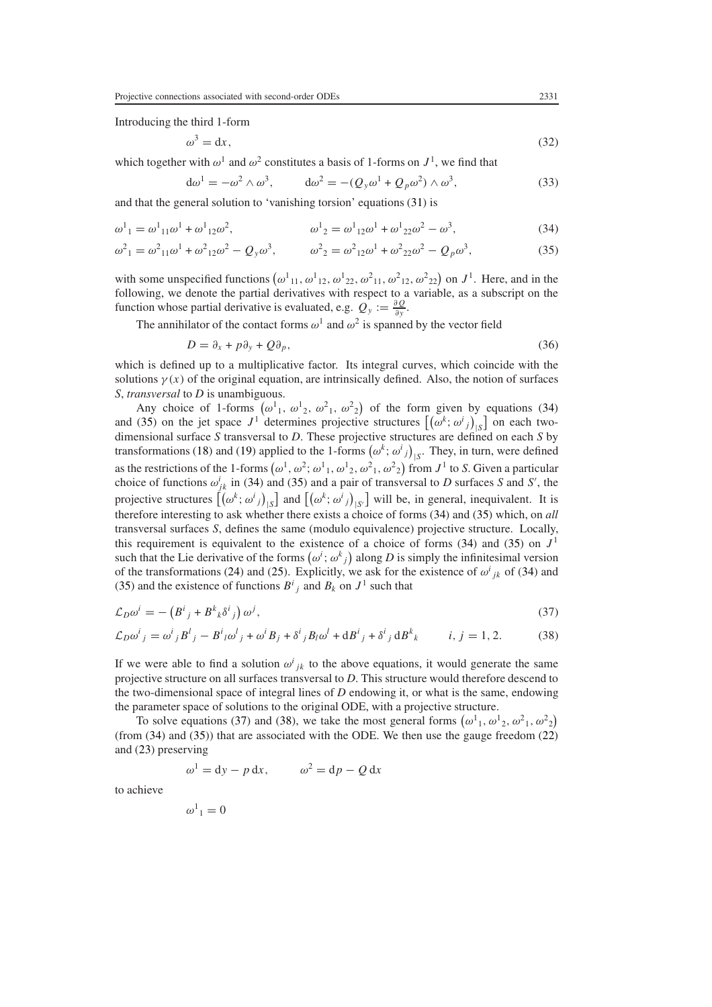Introducing the third 1-form

$$
\omega^3 = \mathrm{d}x,\tag{32}
$$

which together with  $\omega^1$  and  $\omega^2$  constitutes a basis of 1-forms on  $J^1$ , we find that

$$
d\omega^1 = -\omega^2 \wedge \omega^3, \qquad d\omega^2 = -(Q_y \omega^1 + Q_p \omega^2) \wedge \omega^3,
$$
 (33)

<span id="page-6-0"></span>and that the general solution to 'vanishing torsion' equations [\(31\)](#page-5-4) is

<span id="page-6-1"></span>
$$
\omega^1{}_1 = \omega^1{}_{11}\omega^1 + \omega^1{}_{12}\omega^2, \qquad \omega^1{}_2 = \omega^1{}_{12}\omega^1 + \omega^1{}_{22}\omega^2 - \omega^3,\tag{34}
$$

$$
\omega^2{}_1 = \omega^2{}_{11}\omega^1 + \omega^2{}_{12}\omega^2 - Q_y\omega^3, \qquad \omega^2{}_2 = \omega^2{}_{12}\omega^1 + \omega^2{}_{22}\omega^2 - Q_p\omega^3,\tag{35}
$$

with some unspecified functions  $(\omega^1_{11}, \omega^1_{12}, \omega^1_{22}, \omega^2_{11}, \omega^2_{12}, \omega^2_{22})$  on  $J^1$ . Here, and in the following, we denote the partial derivatives with respect to a variable, as a subscript on the function whose partial derivative is evaluated, e.g.  $Q_y := \frac{\partial Q}{\partial y}$ .

The annihilator of the contact forms  $\omega^1$  and  $\omega^2$  is spanned by the vector field

$$
D = \partial_x + p \partial_y + Q \partial_p, \tag{36}
$$

which is defined up to a multiplicative factor. Its integral curves, which coincide with the solutions  $\gamma(x)$  of the original equation, are intrinsically defined. Also, the notion of surfaces *S*, *transversal* to *D* is unambiguous.

Any choice of 1-forms  $(\omega^1{}_1, \omega^1{}_2, \omega^2{}_1, \omega^2{}_2)$  of the form given by equations [\(34\)](#page-6-0) and [\(35\)](#page-6-1) on the jet space  $J^1$  determines projective structures  $[(\omega^k; \omega^i)_s]_S$  on each twodimensional surface *S* transversal to *D*. These projective structures are defined on each *S* by transformations [\(18\)](#page-4-2) and [\(19\)](#page-4-3) applied to the 1-forms  $(\omega^k; \omega^i)_|_S$ . They, in turn, were defined as the restrictions of the 1-forms  $(\omega^1, \omega^2; \omega^1_1, \omega^1_2, \omega^2_1, \omega^2_2)$  from  $J^1$  to *S*. Given a particular choice of functions  $\omega_{jk}^i$  in [\(34\)](#page-6-0) and [\(35\)](#page-6-1) and a pair of transversal to *D* surfaces *S* and *S'*, the projective structures  $[(\omega^k; \omega^i{}_j)_{\vert S}]$  and  $[(\omega^k; \omega^i{}_j)_{\vert S'}]$  will be, in general, inequivalent. It is therefore interesting to ask whether there exists a choice of forms [\(34\)](#page-6-0) and [\(35\)](#page-6-1) which, on *all* transversal surfaces *S*, defines the same (modulo equivalence) projective structure. Locally, this requirement is equivalent to the existence of a choice of forms  $(34)$  and  $(35)$  on  $J<sup>1</sup>$ such that the Lie derivative of the forms  $(\omega^i; \omega^k{}_j)$  along *D* is simply the infinitesimal version of the transformations [\(24\)](#page-5-0) and [\(25\)](#page-5-1). Explicitly, we ask for the existence of  $\omega^{i}_{jk}$  of [\(34\)](#page-6-0) and [\(35\)](#page-6-1) and the existence of functions  $B^i_j$  and  $B_k$  on  $J^1$  such that

<span id="page-6-3"></span><span id="page-6-2"></span>
$$
\mathcal{L}_D \omega^i = -\left(B^i{}_j + B^k{}_k \delta^i{}_j\right) \omega^j,\tag{37}
$$

$$
\mathcal{L}_D \omega^i{}_j = \omega^i{}_j B^l{}_j - B^i{}_l \omega^l{}_j + \omega^i B_j + \delta^i{}_j B_l \omega^l + \mathrm{d} B^i{}_j + \delta^i{}_j \mathrm{d} B^k{}_k \qquad i, j = 1, 2. \tag{38}
$$

If we were able to find a solution  $\omega^{i}{}_{jk}$  to the above equations, it would generate the same projective structure on all surfaces transversal to *D*. This structure would therefore descend to the two-dimensional space of integral lines of *D* endowing it, or what is the same, endowing the parameter space of solutions to the original ODE, with a projective structure.

To solve equations [\(37\)](#page-6-2) and [\(38\)](#page-6-3), we take the most general forms  $(\omega^1{}_1, \omega^1{}_2, \omega^2{}_1, \omega^2{}_2)$ (from [\(34\)](#page-6-0) and [\(35\)](#page-6-1)) that are associated with the ODE. We then use the gauge freedom [\(22\)](#page-4-4) and [\(23\)](#page-4-1) preserving

$$
\omega^1 = dy - p dx, \qquad \omega^2 = dp - Q dx
$$

to achieve

$$
\omega^1{}_1=0
$$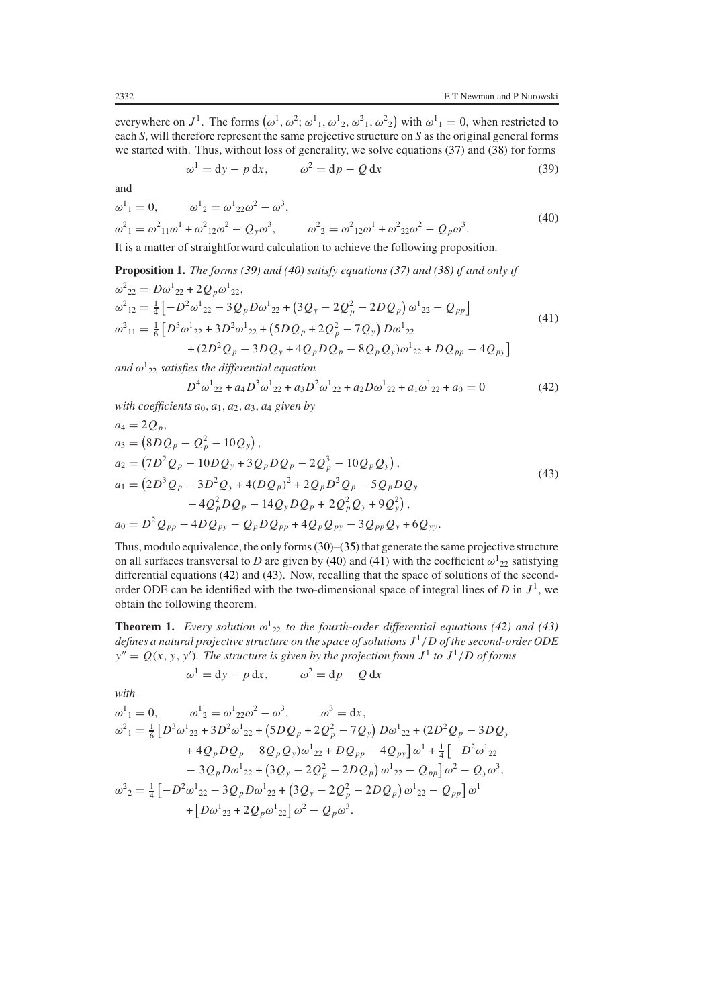<span id="page-7-0"></span>everywhere on  $J^1$ . The forms  $(\omega^1, \omega^2; \omega^1_1, \omega^1_2, \omega^2_1, \omega^2_2)$  with  $\omega^1_1 = 0$ , when restricted to each *S*, will therefore represent the same projective structure on *S* as the original general forms we started with. Thus, without loss of generality, we solve equations [\(37\)](#page-6-2) and [\(38\)](#page-6-3) for forms

$$
\omega^1 = dy - p dx, \qquad \omega^2 = dp - Q dx \tag{39}
$$

and

<span id="page-7-1"></span>
$$
\omega^1{}_1 = 0, \qquad \omega^1{}_2 = \omega^1{}_{22}\omega^2 - \omega^3,
$$
  
\n
$$
\omega^2{}_1 = \omega^2{}_{11}\omega^1 + \omega^2{}_{12}\omega^2 - Q_y\omega^3, \qquad \omega^2{}_2 = \omega^2{}_{12}\omega^1 + \omega^2{}_{22}\omega^2 - Q_p\omega^3.
$$
\n(40)

It is a matter of straightforward calculation to achieve the following proposition.

<span id="page-7-2"></span>**Proposition 1.** *The forms [\(39\)](#page-7-0) and [\(40\)](#page-7-1) satisfy equations [\(37\)](#page-6-2) and [\(38\)](#page-6-3) if and only if*  $\omega^2_{22} = D\omega^1_{22} + 2Q_p\omega^1_{22},$  $\omega^2_{12} = \frac{1}{4} \left[ -D^2 \omega^1_{22} - 3Q_p D \omega^1_{22} + (3Q_y - 2Q_p^2 - 2DQ_p) \omega^1_{22} - Q_{pp} \right]$  $\omega^2_{11} = \frac{1}{6} \left[ D^3 \omega^1_{22} + 3D^2 \omega^1_{22} + (5DQ_p + 2Q_p^2 - 7Q_y) D\omega^1_{22} \right]$  (41)  $+(2D^2Q_p - 3DQ_y + 4Q_pDQ_p - 8Q_pQ_y)\omega_{22}^1 + DQ_{pp} - 4Q_{py}$ 

<span id="page-7-3"></span>*and ω*<sup>1</sup> <sup>22</sup> *satisfies the differential equation*

$$
D^4 \omega^1{}_{22} + a_4 D^3 \omega^1{}_{22} + a_3 D^2 \omega^1{}_{22} + a_2 D \omega^1{}_{22} + a_1 \omega^1{}_{22} + a_0 = 0 \tag{42}
$$

*with coefficients*  $a_0$ *,*  $a_1$ *,*  $a_2$ *,*  $a_3$ *,*  $a_4$  *given by* 

<span id="page-7-4"></span>
$$
a_4 = 2Q_p,
$$
  
\n
$$
a_3 = (8DQ_p - Q_p^2 - 10Q_y),
$$
  
\n
$$
a_2 = (7D^2Q_p - 10DQ_y + 3Q_pDQ_p - 2Q_p^3 - 10Q_pQ_y),
$$
  
\n
$$
a_1 = (2D^3Q_p - 3D^2Q_y + 4(DQ_p)^2 + 2Q_pD^2Q_p - 5Q_pDQ_y - 4Q_p^2DQ_p - 14Q_yDQ_p + 2Q_p^2Q_y + 9Q_y^2),
$$
  
\n
$$
a_0 = D^2Q_{pp} - 4DQ_{py} - Q_pDQ_{pp} + 4Q_pQ_{py} - 3Q_{pp}Q_y + 6Q_{yy}.
$$
\n(43)

Thus, modulo equivalence, the only forms [\(30\)](#page-5-3)–[\(35\)](#page-6-1) that generate the same projective structure on all surfaces transversal to *D* are given by [\(40\)](#page-7-1) and [\(41\)](#page-7-2) with the coefficient  $\omega_{22}^1$  satisfying differential equations [\(42\)](#page-7-3) and [\(43\)](#page-7-4). Now, recalling that the space of solutions of the secondorder ODE can be identified with the two-dimensional space of integral lines of  $D$  in  $J^1$ , we obtain the following theorem.

**Theorem 1.** *Every solution*  $\omega_{22}^1$  *to the fourth-order differential equations* [\(42\)](#page-7-3) *and* [\(43\)](#page-7-4) *defines a natural projective structure on the space of solutions J* <sup>1</sup>*/D of the second-order ODE*  $y'' = Q(x, y, y')$ . The structure is given by the projection from  $J<sup>1</sup>$  to  $J<sup>1</sup>/D$  of forms

$$
\omega^1 = dy - p dx, \qquad \omega^2 = dp - Q dx
$$

*with*

$$
\omega^{1}_{1} = 0, \qquad \omega^{1}_{2} = \omega^{1}_{22}\omega^{2} - \omega^{3}, \qquad \omega^{3} = dx,
$$
  
\n
$$
\omega^{2}_{1} = \frac{1}{6} \left[ D^{3}\omega^{1}_{22} + 3D^{2}\omega^{1}_{22} + (5DQ_{p} + 2Q_{p}^{2} - 7Q_{y}) D\omega^{1}_{22} + (2D^{2}Q_{p} - 3DQ_{y}) + 4Q_{p}DQ_{p} - 8Q_{p}Q_{y})\omega^{1}_{22} + DQ_{pp} - 4Q_{py} \right] \omega^{1}_{1} + \frac{1}{4} \left[ -D^{2}\omega^{1}_{22} - 3Q_{p}D\omega^{1}_{22} + (3Q_{y} - 2Q_{p}^{2} - 2DQ_{p}) \omega^{1}_{22} - Q_{pp} \right] \omega^{2}_{1} - Q_{y}\omega^{3},
$$
  
\n
$$
\omega^{2}_{2} = \frac{1}{4} \left[ -D^{2}\omega^{1}_{22} - 3Q_{p}D\omega^{1}_{22} + (3Q_{y} - 2Q_{p}^{2} - 2DQ_{p}) \omega^{1}_{22} - Q_{pp} \right] \omega^{1}_{1} + \left[ D\omega^{1}_{22} + 2Q_{p}\omega^{1}_{22} \right] \omega^{2}_{1} - Q_{p}\omega^{3}_{1}.
$$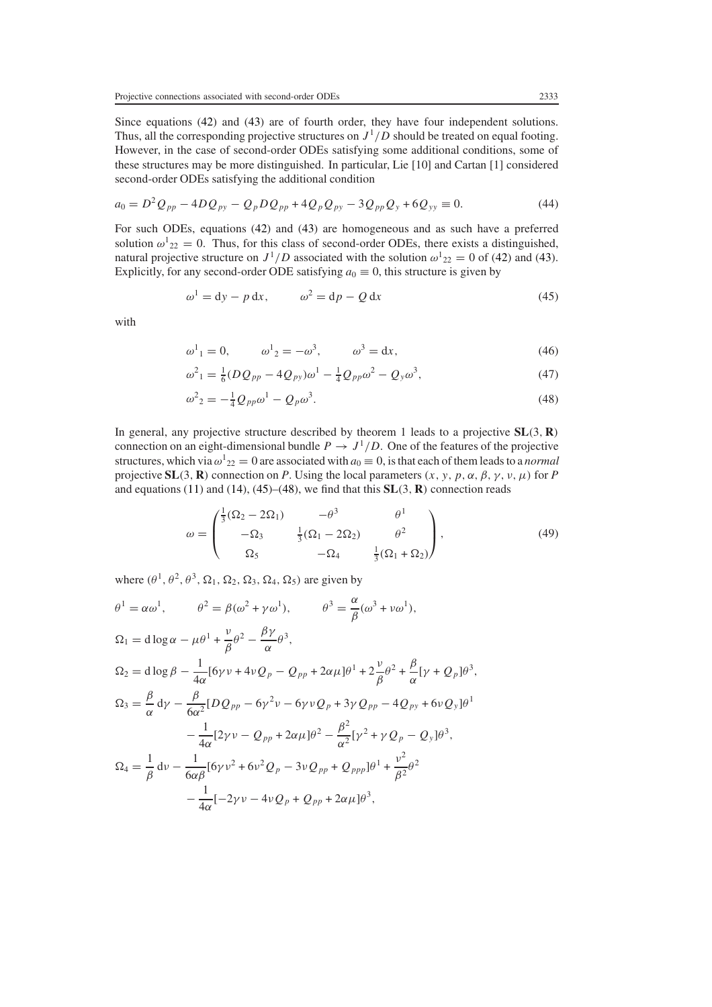Since equations [\(42\)](#page-7-3) and [\(43\)](#page-7-4) are of fourth order, they have four independent solutions. Thus, all the corresponding projective structures on  $J^1/D$  should be treated on equal footing. However, in the case of second-order ODEs satisfying some additional conditions, some of these structures may be more distinguished. In particular, Lie [10] and Cartan [1] considered second-order ODEs satisfying the additional condition

$$
a_0 = D^2 Q_{pp} - 4DQ_{py} - Q_p DQ_{pp} + 4Q_p Q_{py} - 3Q_{pp} Q_y + 6Q_{yy} \equiv 0.
$$
 (44)

For such ODEs, equations [\(42\)](#page-7-3) and [\(43\)](#page-7-4) are homogeneous and as such have a preferred solution  $\omega_{22}^1 = 0$ . Thus, for this class of second-order ODEs, there exists a distinguished, natural projective structure on  $J^1/D$  associated with the solution  $\omega^1{}_{22} = 0$  of [\(42\)](#page-7-3) and [\(43\)](#page-7-4). Explicitly, for any second-order ODE satisfying  $a_0 \equiv 0$ , this structure is given by

$$
\omega^1 = dy - p dx, \qquad \omega^2 = dp - Q dx \tag{45}
$$

<span id="page-8-2"></span><span id="page-8-0"></span>with

$$
\omega^1{}_1 = 0,
$$
\n $\omega^1{}_2 = -\omega^3,$ \n $\omega^3 = dx,$ \n(46)

$$
\omega^2_{1} = \frac{1}{6}(DQ_{pp} - 4Q_{py})\omega^1 - \frac{1}{4}Q_{pp}\omega^2 - Q_y\omega^3,
$$
\n(47)

$$
\omega^2{}_2 = -\frac{1}{4} Q_{pp} \omega^1 - Q_p \omega^3. \tag{48}
$$

<span id="page-8-1"></span>In general, any projective structure described by theorem 1 leads to a projective **SL***(*3*,* **R***)* connection on an eight-dimensional bundle  $P \rightarrow J^1/D$ . One of the features of the projective structures, which via  $\omega_{22}^1 = 0$  are associated with  $a_0 \equiv 0$ , is that each of them leads to a *normal* projective  $SL(3, R)$  connection on *P*. Using the local parameters  $(x, y, p, \alpha, \beta, \gamma, \nu, \mu)$  for *P* and equations [\(11\)](#page-3-3) and [\(14\)](#page-3-2), [\(45\)](#page-8-0)–[\(48\)](#page-8-1), we find that this **SL***(*3*,* **R***)* connection reads

$$
\omega = \begin{pmatrix} \frac{1}{3}(\Omega_2 - 2\Omega_1) & -\theta^3 & \theta^1 \\ -\Omega_3 & \frac{1}{3}(\Omega_1 - 2\Omega_2) & \theta^2 \\ \Omega_5 & -\Omega_4 & \frac{1}{3}(\Omega_1 + \Omega_2) \end{pmatrix},
$$
(49)

where  $(\theta^1, \theta^2, \theta^3, \Omega_1, \Omega_2, \Omega_3, \Omega_4, \Omega_5)$  are given by

$$
\theta^{1} = \alpha \omega^{1}, \qquad \theta^{2} = \beta(\omega^{2} + \gamma \omega^{1}), \qquad \theta^{3} = \frac{\alpha}{\beta}(\omega^{3} + \nu \omega^{1}),
$$
  
\n
$$
\Omega_{1} = \text{d}\log\alpha - \mu\theta^{1} + \frac{\nu}{\beta}\theta^{2} - \frac{\beta\gamma}{\alpha}\theta^{3},
$$
  
\n
$$
\Omega_{2} = \text{d}\log\beta - \frac{1}{4\alpha}[\delta\gamma \nu + 4\nu Q_{p} - Q_{pp} + 2\alpha\mu]\theta^{1} + 2\frac{\nu}{\beta}\theta^{2} + \frac{\beta}{\alpha}[\gamma + Q_{p}]\theta^{3},
$$
  
\n
$$
\Omega_{3} = \frac{\beta}{\alpha}d\gamma - \frac{\beta}{6\alpha^{2}}[DQ_{pp} - \delta\gamma^{2}\nu - \delta\gamma\nu Q_{p} + 3\gamma Q_{pp} - 4Q_{py} + 6\nu Q_{y}]\theta^{1} - \frac{1}{4\alpha}[2\gamma\nu - Q_{pp} + 2\alpha\mu]\theta^{2} - \frac{\beta^{2}}{\alpha^{2}}[\gamma^{2} + \gamma Q_{p} - Q_{y}]\theta^{3},
$$
  
\n
$$
\Omega_{4} = \frac{1}{\beta}d\nu - \frac{1}{6\alpha\beta}[\delta\gamma\nu^{2} + \delta\nu^{2}Q_{p} - 3\nu Q_{pp} + Q_{ppp}]\theta^{1} + \frac{\nu^{2}}{\beta^{2}}\theta^{2} - \frac{1}{4\alpha}[-2\gamma\nu - 4\nu Q_{p} + Q_{pp} + 2\alpha\mu]\theta^{3},
$$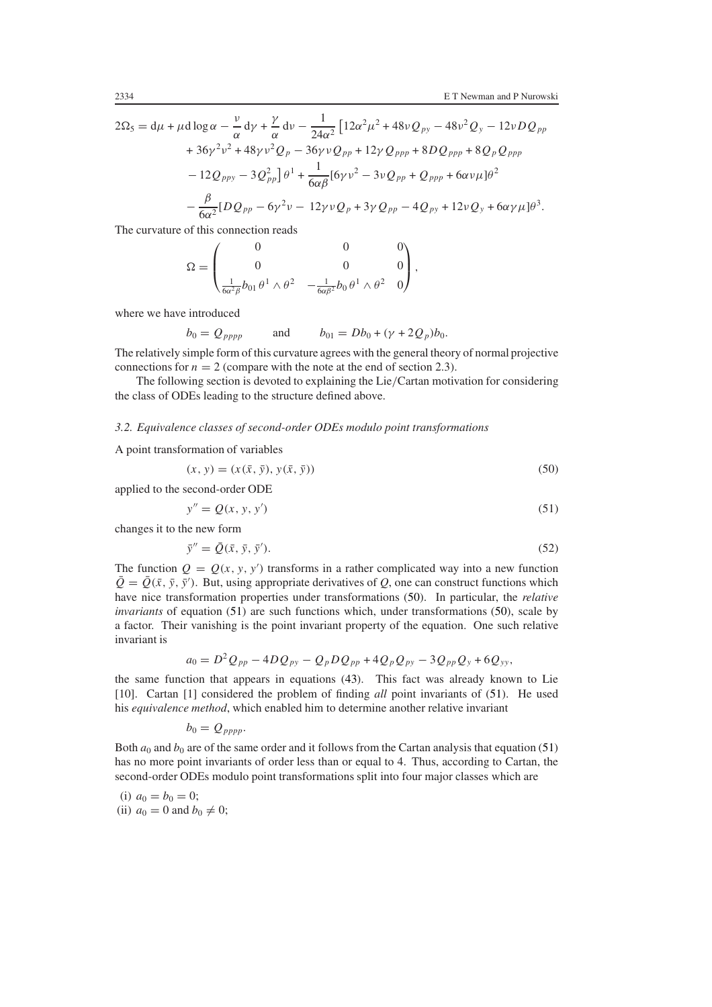$$
2\Omega_5 = d\mu + \mu d \log \alpha - \frac{\nu}{\alpha} d\gamma + \frac{\gamma}{\alpha} d\nu - \frac{1}{24\alpha^2} \Big[ 12\alpha^2 \mu^2 + 48\nu Q_{py} - 48\nu^2 Q_y - 12\nu D Q_{pp} + 36\gamma^2 \nu^2 + 48\gamma \nu^2 Q_p - 36\gamma \nu Q_{pp} + 12\gamma Q_{ppp} + 8D Q_{ppp} + 8Q_p Q_{ppp} - 12Q_{ppy} - 3Q_{pp}^2 \Big] \theta^1 + \frac{1}{6\alpha\beta} [6\gamma \nu^2 - 3\nu Q_{pp} + Q_{ppp} + 6\alpha\nu \mu] \theta^2 - \frac{\beta}{6\alpha^2} [DQ_{pp} - 6\gamma^2 \nu - 12\gamma \nu Q_p + 3\gamma Q_{pp} - 4Q_{py} + 12\nu Q_y + 6\alpha\gamma \mu] \theta^3.
$$

The curvature of this connection reads

$$
\Omega = \begin{pmatrix} 0 & 0 & 0 \\ 0 & 0 & 0 \\ \frac{1}{6\alpha^2\beta}b_{01}\,\theta^1\wedge\theta^2 & -\frac{1}{6\alpha\beta^2}b_0\,\theta^1\wedge\theta^2 & 0 \end{pmatrix},
$$

where we have introduced

$$
b_0 = Q_{pppp}
$$
 and  $b_{01} = Db_0 + (\gamma + 2Q_p)b_0$ .

The relatively simple form of this curvature agrees with the general theory of normal projective connections for  $n = 2$  (compare with the note at the end of section 2.3).

The following section is devoted to explaining the Lie*/*Cartan motivation for considering the class of ODEs leading to the structure defined above.

# *3.2. Equivalence classes of second-order ODEs modulo point transformations*

<span id="page-9-0"></span>A point transformation of variables

$$
(x, y) = (x(\bar{x}, \bar{y}), y(\bar{x}, \bar{y}))
$$
\n
$$
(50)
$$

<span id="page-9-1"></span>applied to the second-order ODE

$$
y'' = Q(x, y, y') \tag{51}
$$

changes it to the new form

$$
\bar{y}'' = \bar{Q}(\bar{x}, \bar{y}, \bar{y}'). \tag{52}
$$

The function  $Q = Q(x, y, y')$  transforms in a rather complicated way into a new function  $\overline{Q} = \overline{Q}(\overline{x}, \overline{y}, \overline{y}')$ . But, using appropriate derivatives of *Q*, one can construct functions which have nice transformation properties under transformations [\(50\)](#page-9-0). In particular, the *relative invariants* of equation [\(51\)](#page-9-1) are such functions which, under transformations [\(50\)](#page-9-0), scale by a factor. Their vanishing is the point invariant property of the equation. One such relative invariant is

$$
a_0 = D^2 Q_{pp} - 4D Q_{py} - Q_p D Q_{pp} + 4Q_p Q_{py} - 3Q_{pp} Q_y + 6Q_{yy},
$$

the same function that appears in equations [\(43\)](#page-7-4). This fact was already known to Lie [10]. Cartan [1] considered the problem of finding *all* point invariants of [\(51\)](#page-9-1). He used his *equivalence method*, which enabled him to determine another relative invariant

$$
b_0=Q_{pppp}.
$$

Both  $a_0$  and  $b_0$  are of the same order and it follows from the Cartan analysis that equation [\(51\)](#page-9-1) has no more point invariants of order less than or equal to 4. Thus, according to Cartan, the second-order ODEs modulo point transformations split into four major classes which are

(i)  $a_0 = b_0 = 0;$ (ii)  $a_0 = 0$  and  $b_0 \neq 0$ ;